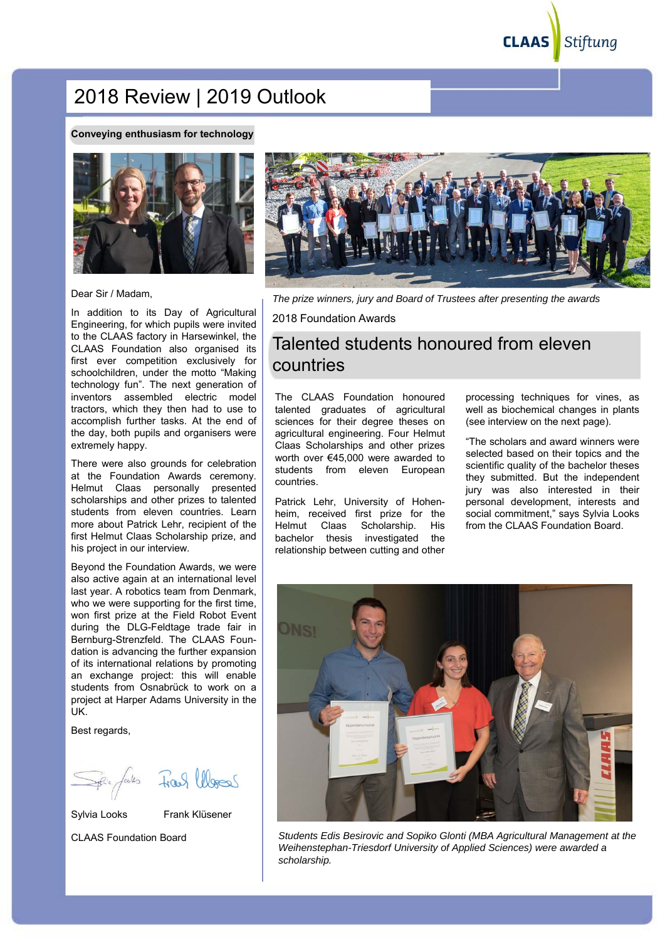**CLAAS** Stiftung

# 2018 Review | 2019 Outlook

#### **Conveying enthusiasm for technology**



Dear Sir / Madam,

In addition to its Day of Agricultural Engineering, for which pupils were invited to the CLAAS factory in Harsewinkel, the CLAAS Foundation also organised its first ever competition exclusively for schoolchildren, under the motto "Making technology fun". The next generation of inventors assembled electric model tractors, which they then had to use to accomplish further tasks. At the end of the day, both pupils and organisers were extremely happy.

There were also grounds for celebration at the Foundation Awards ceremony. Helmut Claas personally presented scholarships and other prizes to talented students from eleven countries. Learn more about Patrick Lehr, recipient of the first Helmut Claas Scholarship prize, and his project in our interview.

Beyond the Foundation Awards, we were also active again at an international level last year. A robotics team from Denmark, who we were supporting for the first time, won first prize at the Field Robot Event during the DLG-Feldtage trade fair in Bernburg-Strenzfeld. The CLAAS Foundation is advancing the further expansion of its international relations by promoting an exchange project: this will enable students from Osnabrück to work on a project at Harper Adams University in the UK.

Best regards,

Spie fals Frank Words

Sylvia Looks Frank Klüsener



CLAAS Foundation Board



*The prize winners, jury and Board of Trustees after presenting the awards* 

2018 Foundation Awards

## Talented students honoured from eleven countries

The CLAAS Foundation honoured talented graduates of agricultural sciences for their degree theses on agricultural engineering. Four Helmut Claas Scholarships and other prizes worth over €45,000 were awarded to students from eleven European countries.

Patrick Lehr, University of Hohenheim, received first prize for the Helmut Claas Scholarship. His bachelor thesis investigated the relationship between cutting and other

processing techniques for vines, as well as biochemical changes in plants (see interview on the next page).

"The scholars and award winners were selected based on their topics and the scientific quality of the bachelor theses they submitted. But the independent jury was also interested in their personal development, interests and social commitment," says Sylvia Looks from the CLAAS Foundation Board.



*Students Edis Besirovic and Sopiko Glonti (MBA Agricultural Management at the Weihenstephan-Triesdorf University of Applied Sciences) were awarded a scholarship.*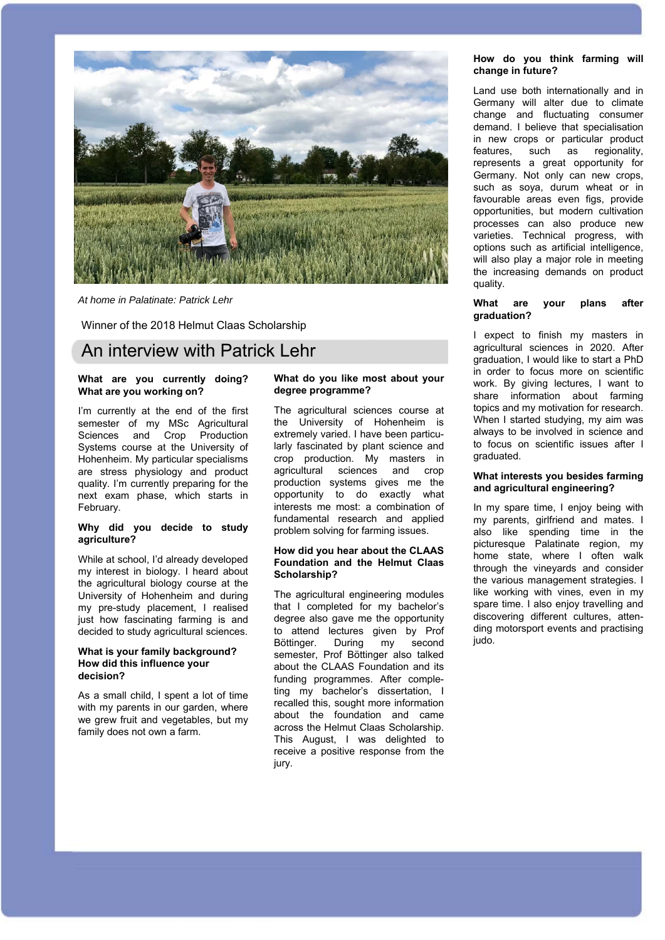

*At home in Palatinate: Patrick Lehr*

Winner of the 2018 Helmut Claas Scholarship

### An interview with Patrick Lehr

#### **What are you currently doing? What are you working on?**

I'm currently at the end of the first semester of my MSc Agricultural Sciences and Crop Production Systems course at the University of Hohenheim. My particular specialisms are stress physiology and product quality. I'm currently preparing for the next exam phase, which starts in February.

#### **Why did you decide to study agriculture?**

While at school, I'd already developed my interest in biology. I heard about the agricultural biology course at the University of Hohenheim and during my pre-study placement, I realised just how fascinating farming is and decided to study agricultural sciences.

#### **What is your family background? How did this influence your decision?**

As a small child, I spent a lot of time with my parents in our garden, where we grew fruit and vegetables, but my family does not own a farm.

#### **What do you like most about your degree programme?**

The agricultural sciences course at the University of Hohenheim is extremely varied. I have been particularly fascinated by plant science and crop production. My masters in agricultural sciences and crop production systems gives me the opportunity to do exactly what interests me most: a combination of fundamental research and applied problem solving for farming issues.

#### **How did you hear about the CLAAS Foundation and the Helmut Claas Scholarship?**

The agricultural engineering modules that I completed for my bachelor's degree also gave me the opportunity to attend lectures given by Prof Böttinger. During my second semester, Prof Böttinger also talked about the CLAAS Foundation and its funding programmes. After completing my bachelor's dissertation, I recalled this, sought more information about the foundation and came across the Helmut Claas Scholarship. This August, I was delighted to receive a positive response from the jury.

#### **How do you think farming will change in future?**

Land use both internationally and in Germany will alter due to climate change and fluctuating consumer demand. I believe that specialisation in new crops or particular product features, such as regionality, represents a great opportunity for Germany. Not only can new crops, such as soya, durum wheat or in favourable areas even figs, provide opportunities, but modern cultivation processes can also produce new varieties. Technical progress, with options such as artificial intelligence, will also play a major role in meeting the increasing demands on product quality.

#### **What are your plans after graduation?**

I expect to finish my masters in agricultural sciences in 2020. After graduation, I would like to start a PhD in order to focus more on scientific work. By giving lectures, I want to share information about farming topics and my motivation for research. When I started studying, my aim was always to be involved in science and to focus on scientific issues after I graduated.

#### **What interests you besides farming and agricultural engineering?**

In my spare time, I enjoy being with my parents, girlfriend and mates. I also like spending time in the picturesque Palatinate region, my home state, where I often walk through the vineyards and consider the various management strategies. I like working with vines, even in my spare time. I also enjoy travelling and discovering different cultures, attending motorsport events and practising iudo.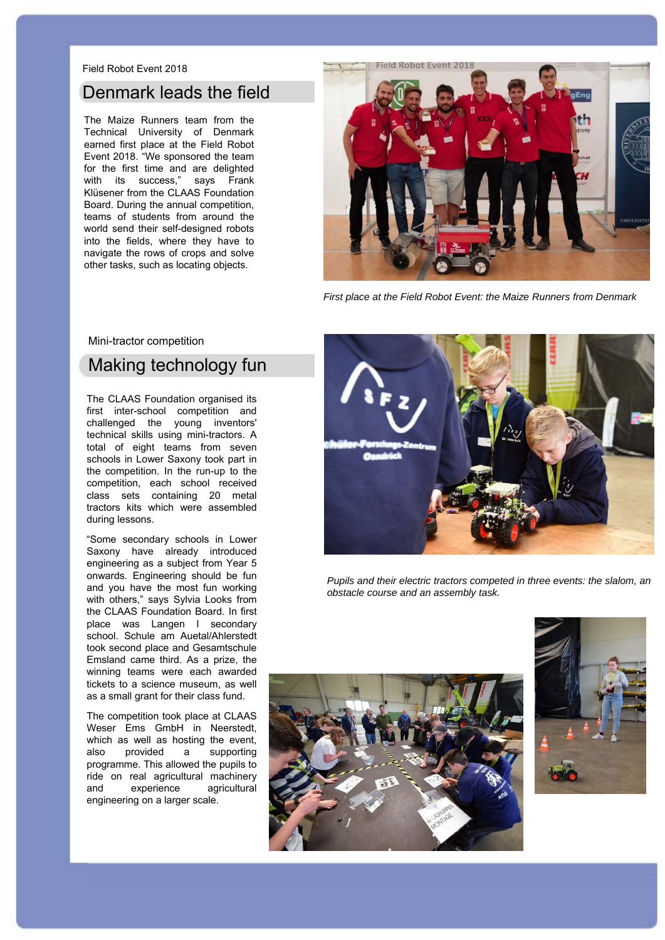#### Field Robot Event 2018

### Denmark leads the field

The Maize Runners team from the Technical University of Denmark earned first place at the Field Robot Event 2018. "We sponsored the team for the first time and are delighted with its success," says Frank Klüsener from the CLAAS Foundation Board. During the annual competition, teams of students from around the world send their self-designed robots into the fields, where they have to navigate the rows of crops and solve other tasks, such as locating objects.



*First place at the Field Robot Event: the Maize Runners from Denmark*

#### Mini-tractor competition

## Making technology fun

The CLAAS Foundation organised its first inter-school competition and challenged the young inventors' technical skills using mini-tractors. A total of eight teams from seven schools in Lower Saxony took part in the competition. In the run-up to the competition, each school received class sets containing 20 metal tractors kits which were assembled during lessons.

"Some secondary schools in Lower Saxony have already introduced engineering as a subject from Year 5 onwards. Engineering should be fun and you have the most fun working with others," says Sylvia Looks from the CLAAS Foundation Board. In first place was Langen I secondary school. Schule am Auetal/Ahlerstedt took second place and Gesamtschule Emsland came third. As a prize, the winning teams were each awarded tickets to a science museum, as well as a small grant for their class fund.

The competition took place at CLAAS Weser Ems GmbH in Neerstedt, which as well as hosting the event, also provided a supporting programme. This allowed the pupils to ride on real agricultural machinery and experience agricultural engineering on a larger scale.



*Pupils and their electric tractors competed in three events: the slalom, an obstacle course and an assembly task.*